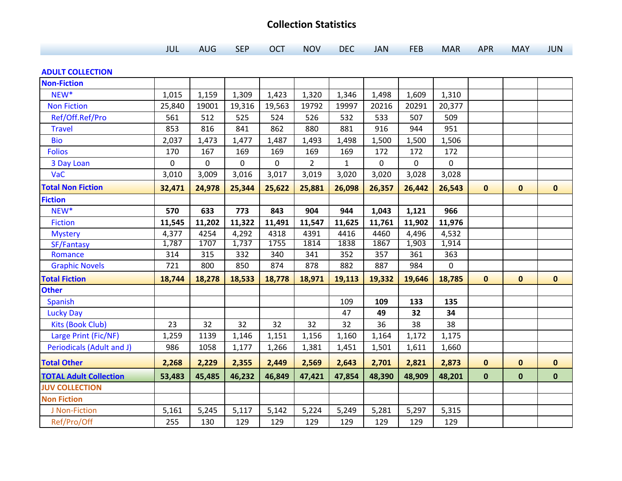## **Collection Statistics**

|  | <b>AUG</b> | <b>SEP</b><br>__ | <b>OCT</b> | NOV | <b>DEC</b> | <b>JAN</b> | FEB | MAR APR |  | <b>MAY</b><br>. | <b>JUN</b> |
|--|------------|------------------|------------|-----|------------|------------|-----|---------|--|-----------------|------------|
|--|------------|------------------|------------|-----|------------|------------|-----|---------|--|-----------------|------------|

## **ADULT COLLECTION**

| <b>Non-Fiction</b>               |        |        |        |        |                |              |        |             |        |              |              |              |
|----------------------------------|--------|--------|--------|--------|----------------|--------------|--------|-------------|--------|--------------|--------------|--------------|
| NEW*                             | 1,015  | 1,159  | 1,309  | 1,423  | 1,320          | 1,346        | 1,498  | 1,609       | 1,310  |              |              |              |
| <b>Non Fiction</b>               | 25,840 | 19001  | 19,316 | 19,563 | 19792          | 19997        | 20216  | 20291       | 20,377 |              |              |              |
| Ref/Off.Ref/Pro                  | 561    | 512    | 525    | 524    | 526            | 532          | 533    | 507         | 509    |              |              |              |
| <b>Travel</b>                    | 853    | 816    | 841    | 862    | 880            | 881          | 916    | 944         | 951    |              |              |              |
| <b>Bio</b>                       | 2,037  | 1,473  | 1,477  | 1,487  | 1,493          | 1,498        | 1,500  | 1,500       | 1,506  |              |              |              |
| <b>Folios</b>                    | 170    | 167    | 169    | 169    | 169            | 169          | 172    | 172         | 172    |              |              |              |
| 3 Day Loan                       | 0      | 0      | 0      | 0      | $\overline{2}$ | $\mathbf{1}$ | 0      | $\mathbf 0$ | 0      |              |              |              |
| VaC                              | 3,010  | 3,009  | 3,016  | 3,017  | 3,019          | 3,020        | 3,020  | 3,028       | 3,028  |              |              |              |
| <b>Total Non Fiction</b>         | 32,471 | 24,978 | 25,344 | 25,622 | 25,881         | 26,098       | 26,357 | 26,442      | 26,543 | $\mathbf 0$  | $\mathbf 0$  | $\mathbf{0}$ |
| <b>Fiction</b>                   |        |        |        |        |                |              |        |             |        |              |              |              |
| NEW <sup>*</sup>                 | 570    | 633    | 773    | 843    | 904            | 944          | 1,043  | 1,121       | 966    |              |              |              |
| <b>Fiction</b>                   | 11,545 | 11,202 | 11,322 | 11,491 | 11,547         | 11,625       | 11,761 | 11,902      | 11,976 |              |              |              |
| <b>Mystery</b>                   | 4,377  | 4254   | 4,292  | 4318   | 4391           | 4416         | 4460   | 4,496       | 4,532  |              |              |              |
| SF/Fantasy                       | 1,787  | 1707   | 1,737  | 1755   | 1814           | 1838         | 1867   | 1,903       | 1,914  |              |              |              |
| Romance                          | 314    | 315    | 332    | 340    | 341            | 352          | 357    | 361         | 363    |              |              |              |
| <b>Graphic Novels</b>            | 721    | 800    | 850    | 874    | 878            | 882          | 887    | 984         | 0      |              |              |              |
| <b>Total Fiction</b>             | 18,744 | 18,278 | 18,533 | 18,778 | 18,971         | 19,113       | 19,332 | 19,646      | 18,785 | $\mathbf{0}$ | $\mathbf{0}$ | $\mathbf 0$  |
| <b>Other</b>                     |        |        |        |        |                |              |        |             |        |              |              |              |
| <b>Spanish</b>                   |        |        |        |        |                | 109          | 109    | 133         | 135    |              |              |              |
| <b>Lucky Day</b>                 |        |        |        |        |                | 47           | 49     | 32          | 34     |              |              |              |
| <b>Kits (Book Club)</b>          | 23     | 32     | 32     | 32     | 32             | 32           | 36     | 38          | 38     |              |              |              |
| Large Print (Fic/NF)             | 1,259  | 1139   | 1,146  | 1,151  | 1,156          | 1,160        | 1,164  | 1,172       | 1,175  |              |              |              |
| <b>Periodicals (Adult and J)</b> | 986    | 1058   | 1,177  | 1,266  | 1,381          | 1,451        | 1,501  | 1,611       | 1,660  |              |              |              |
| <b>Total Other</b>               | 2,268  | 2,229  | 2,355  | 2,449  | 2,569          | 2,643        | 2,701  | 2,821       | 2,873  | $\mathbf 0$  | $\mathbf 0$  | $\mathbf 0$  |
| <b>TOTAL Adult Collection</b>    | 53,483 | 45,485 | 46,232 | 46,849 | 47,421         | 47,854       | 48,390 | 48,909      | 48,201 | $\mathbf 0$  | $\mathbf 0$  | $\pmb{0}$    |
| <b>JUV COLLECTION</b>            |        |        |        |        |                |              |        |             |        |              |              |              |
| <b>Non Fiction</b>               |        |        |        |        |                |              |        |             |        |              |              |              |
| J Non-Fiction                    | 5,161  | 5,245  | 5,117  | 5,142  | 5,224          | 5,249        | 5,281  | 5,297       | 5,315  |              |              |              |
| Ref/Pro/Off                      | 255    | 130    | 129    | 129    | 129            | 129          | 129    | 129         | 129    |              |              |              |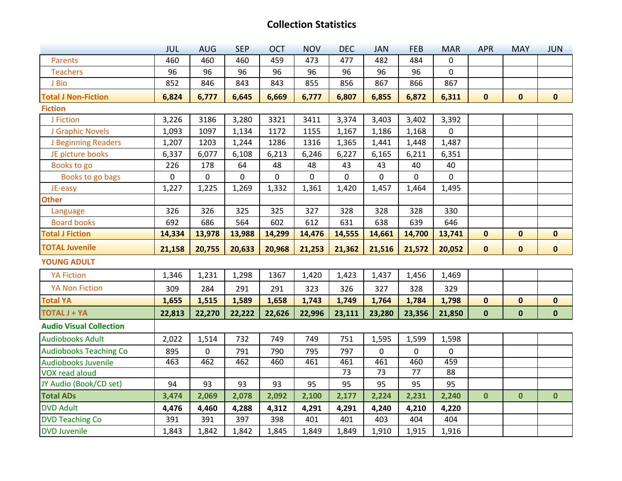## **Collection Statistics**

|                                | <b>JUL</b> | <b>AUG</b>  | <b>SEP</b> | <b>OCT</b> | <b>NOV</b> | <b>DEC</b> | <b>JAN</b>      | <b>FEB</b>      | <b>MAR</b>  | <b>APR</b>  | <b>MAY</b>   | <b>JUN</b>   |
|--------------------------------|------------|-------------|------------|------------|------------|------------|-----------------|-----------------|-------------|-------------|--------------|--------------|
| Parents                        | 460        | 460         | 460        | 459        | 473        | 477        | 482             | 484             | $\mathbf 0$ |             |              |              |
| <b>Teachers</b>                | 96         | 96          | 96         | 96         | 96         | 96         | 96              | 96              | $\mathbf 0$ |             |              |              |
| J Bio                          | 852        | 846         | 843        | 843        | 855        | 856        | 867             | 866             | 867         |             |              |              |
| <b>Total J Non-Fiction</b>     | 6,824      | 6,777       | 6,645      | 6,669      | 6,777      | 6,807      | 6,855           | 6,872           | 6,311       | $\mathbf 0$ | $\mathbf 0$  | $\mathbf{0}$ |
| <b>Fiction</b>                 |            |             |            |            |            |            |                 |                 |             |             |              |              |
| J Fiction                      | 3,226      | 3186        | 3,280      | 3321       | 3411       | 3,374      | 3,403           | 3,402           | 3,392       |             |              |              |
| J Graphic Novels               | 1,093      | 1097        | 1,134      | 1172       | 1155       | 1,167      | 1,186           | 1,168           | 0           |             |              |              |
| J Beginning Readers            | 1,207      | 1203        | 1,244      | 1286       | 1316       | 1,365      | 1,441           | 1,448           | 1,487       |             |              |              |
| JE picture books               | 6,337      | 6,077       | 6,108      | 6,213      | 6,246      | 6,227      | 6,165           | 6,211           | 6,351       |             |              |              |
| Books to go                    | 226        | 178         | 64         | 48         | 48         | 43         | 43              | 40              | 40          |             |              |              |
| Books to go bags               | $\pmb{0}$  | $\pmb{0}$   | $\pmb{0}$  | $\pmb{0}$  | 0          | 0          | 0               | 0               | $\mathsf 0$ |             |              |              |
| JE-easy                        | 1,227      | 1,225       | 1,269      | 1,332      | 1,361      | 1,420      | 1,457           | 1,464           | 1,495       |             |              |              |
| <b>Other</b>                   |            |             |            |            |            |            |                 |                 |             |             |              |              |
| Language                       | 326        | 326         | 325        | 325        | 327        | 328        | 328             | 328             | 330         |             |              |              |
| <b>Board books</b>             | 692        | 686         | 564        | 602        | 612        | 631        | 638             | 639             | 646         |             |              |              |
| <b>Total J Fiction</b>         | 14,334     | 13,978      | 13,988     | 14,299     | 14,476     | 14,555     | 14,661          | 14,700          | 13,741      | $\mathbf 0$ | $\mathbf 0$  | $\mathbf 0$  |
|                                |            |             |            |            |            |            |                 |                 |             |             |              |              |
| <b>TOTAL Juvenile</b>          | 21,158     | 20,755      | 20,633     | 20,968     | 21,253     | 21,362     | 21,516          | 21,572          | 20,052      | $\mathbf 0$ | $\mathbf 0$  | $\mathbf 0$  |
| <b>YOUNG ADULT</b>             |            |             |            |            |            |            |                 |                 |             |             |              |              |
| <b>YA Fiction</b>              | 1,346      | 1,231       | 1,298      | 1367       | 1,420      | 1,423      | 1,437           | 1,456           | 1,469       |             |              |              |
| <b>YA Non Fiction</b>          | 309        | 284         | 291        | 291        | 323        | 326        | 327             | 328             | 329         |             |              |              |
| <b>Total YA</b>                | 1,655      | 1,515       | 1,589      | 1,658      | 1,743      | 1,749      | 1,764           | 1,784           | 1,798       | $\mathbf 0$ | $\mathbf 0$  | $\mathbf{0}$ |
| <b>TOTAL J + YA</b>            | 22,813     | 22,270      | 22,222     | 22,626     | 22,996     | 23,111     | 23,280          | 23,356          | 21,850      | $\mathbf 0$ | $\mathbf 0$  | $\mathbf 0$  |
| <b>Audio Visual Collection</b> |            |             |            |            |            |            |                 |                 |             |             |              |              |
| <b>Audiobooks Adult</b>        | 2,022      | 1,514       | 732        | 749        | 749        | 751        | 1,595           | 1,599           | 1,598       |             |              |              |
| <b>Audiobooks Teaching Co</b>  | 895        | $\mathbf 0$ | 791        | 790        | 795        | 797        | 0               | $\mathbf 0$     | $\mathbf 0$ |             |              |              |
| <b>Audiobooks Juvenile</b>     | 463        | 462         | 462        | 460        | 461        | 461        | 461             | 460             | 459         |             |              |              |
| <b>VOX read aloud</b>          |            |             |            |            |            | 73         | $\overline{73}$ | $\overline{77}$ | 88          |             |              |              |
| JY Audio (Book/CD set)         | 94         | 93          | 93         | 93         | 95         | 95         | 95              | 95              | 95          |             |              |              |
| <b>Total ADs</b>               | 3,474      | 2,069       | 2,078      | 2,092      | 2,100      | 2,177      | 2,224           | 2,231           | 2,240       | $\mathbf 0$ | $\mathbf{0}$ | $\mathbf{0}$ |
| <b>DVD Adult</b>               | 4,476      | 4,460       | 4,288      | 4,312      | 4,291      | 4,291      | 4,240           | 4,210           | 4,220       |             |              |              |
| <b>DVD Teaching Co</b>         | 391        | 391         | 397        | 398        | 401        | 401        | 403             | 404             | 404         |             |              |              |